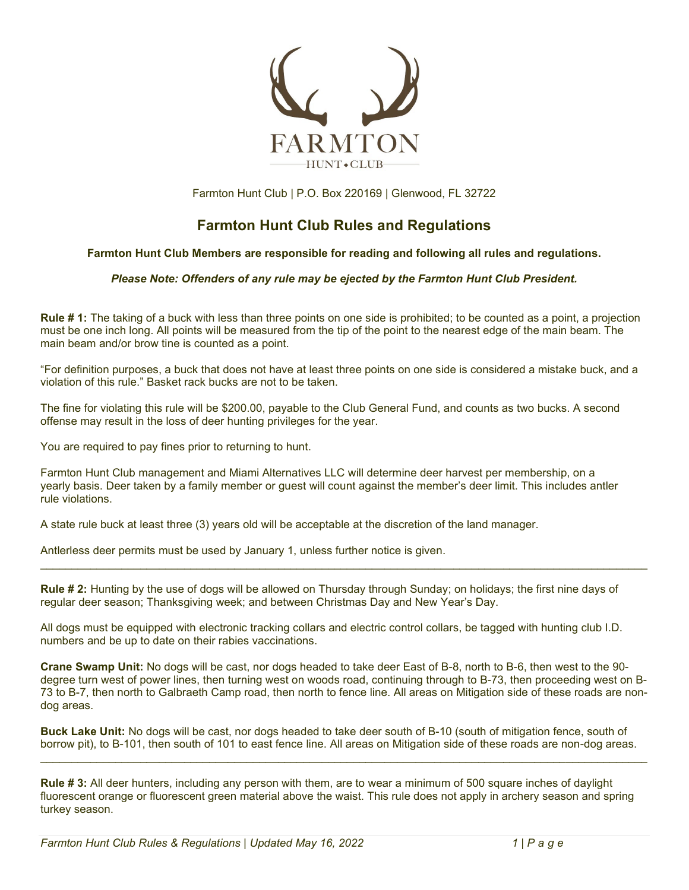

Farmton Hunt Club | P.O. Box 220169 | Glenwood, FL 32722

# **Farmton Hunt Club Rules and Regulations**

#### **Farmton Hunt Club Members are responsible for reading and following all rules and regulations.**

#### *Please Note: Offenders of any rule may be ejected by the Farmton Hunt Club President.*

**Rule # 1:** The taking of a buck with less than three points on one side is prohibited; to be counted as a point, a projection must be one inch long. All points will be measured from the tip of the point to the nearest edge of the main beam. The main beam and/or brow tine is counted as a point.

"For definition purposes, a buck that does not have at least three points on one side is considered a mistake buck, and a violation of this rule." Basket rack bucks are not to be taken.

The fine for violating this rule will be \$200.00, payable to the Club General Fund, and counts as two bucks. A second offense may result in the loss of deer hunting privileges for the year.

You are required to pay fines prior to returning to hunt.

Farmton Hunt Club management and Miami Alternatives LLC will determine deer harvest per membership, on a yearly basis. Deer taken by a family member or guest will count against the member's deer limit. This includes antler rule violations.

A state rule buck at least three (3) years old will be acceptable at the discretion of the land manager.

Antlerless deer permits must be used by January 1, unless further notice is given.

**Rule # 2:** Hunting by the use of dogs will be allowed on Thursday through Sunday; on holidays; the first nine days of regular deer season; Thanksgiving week; and between Christmas Day and New Year's Day.

\_\_\_\_\_\_\_\_\_\_\_\_\_\_\_\_\_\_\_\_\_\_\_\_\_\_\_\_\_\_\_\_\_\_\_\_\_\_\_\_\_\_\_\_\_\_\_\_\_\_\_\_\_\_\_\_\_\_\_\_\_\_\_\_\_\_\_\_\_\_\_\_\_\_\_\_\_\_\_\_\_\_\_\_\_\_\_\_\_\_\_\_\_\_\_\_\_

All dogs must be equipped with electronic tracking collars and electric control collars, be tagged with hunting club I.D. numbers and be up to date on their rabies vaccinations.

**Crane Swamp Unit:** No dogs will be cast, nor dogs headed to take deer East of B-8, north to B-6, then west to the 90 degree turn west of power lines, then turning west on woods road, continuing through to B-73, then proceeding west on B-73 to B-7, then north to Galbraeth Camp road, then north to fence line. All areas on Mitigation side of these roads are nondog areas.

**Buck Lake Unit:** No dogs will be cast, nor dogs headed to take deer south of B-10 (south of mitigation fence, south of borrow pit), to B-101, then south of 101 to east fence line. All areas on Mitigation side of these roads are non-dog areas.

\_\_\_\_\_\_\_\_\_\_\_\_\_\_\_\_\_\_\_\_\_\_\_\_\_\_\_\_\_\_\_\_\_\_\_\_\_\_\_\_\_\_\_\_\_\_\_\_\_\_\_\_\_\_\_\_\_\_\_\_\_\_\_\_\_\_\_\_\_\_\_\_\_\_\_\_\_\_\_\_\_\_\_\_\_\_\_\_\_\_\_\_\_\_\_\_\_

**Rule # 3:** All deer hunters, including any person with them, are to wear a minimum of 500 square inches of daylight fluorescent orange or fluorescent green material above the waist. This rule does not apply in archery season and spring turkey season.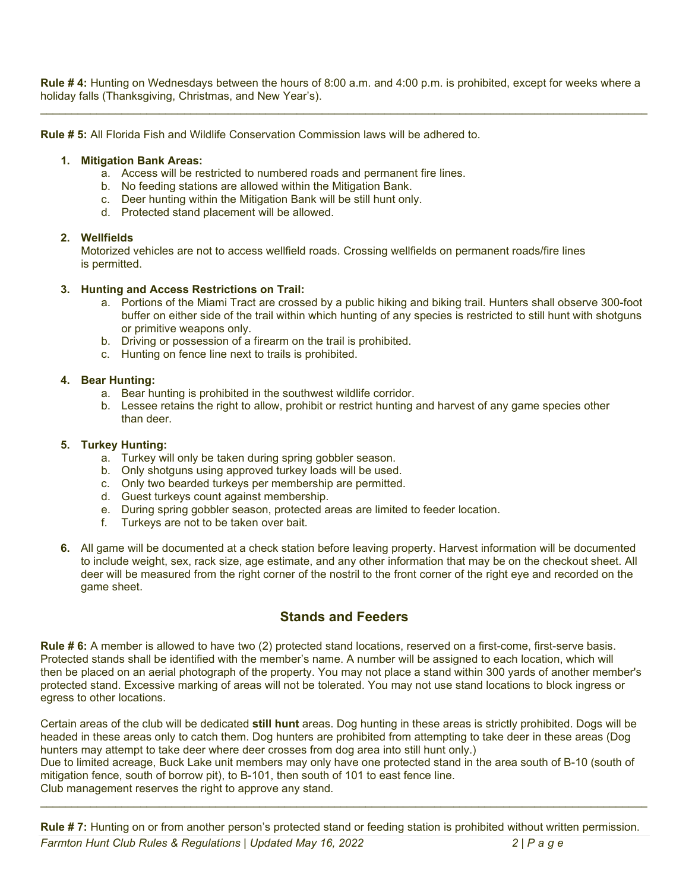**Rule # 4:** Hunting on Wednesdays between the hours of 8:00 a.m. and 4:00 p.m. is prohibited, except for weeks where a holiday falls (Thanksgiving, Christmas, and New Year's). \_\_\_\_\_\_\_\_\_\_\_\_\_\_\_\_\_\_\_\_\_\_\_\_\_\_\_\_\_\_\_\_\_\_\_\_\_\_\_\_\_\_\_\_\_\_\_\_\_\_\_\_\_\_\_\_\_\_\_\_\_\_\_\_\_\_\_\_\_\_\_\_\_\_\_\_\_\_\_\_\_\_\_\_\_\_\_\_\_\_\_\_\_\_\_\_\_

**Rule # 5:** All Florida Fish and Wildlife Conservation Commission laws will be adhered to.

#### **1. Mitigation Bank Areas:**

- a. Access will be restricted to numbered roads and permanent fire lines.
- b. No feeding stations are allowed within the Mitigation Bank.
- c. Deer hunting within the Mitigation Bank will be still hunt only.
- d. Protected stand placement will be allowed.

#### **2. Wellfields**

Motorized vehicles are not to access wellfield roads. Crossing wellfields on permanent roads/fire lines is permitted.

#### **3. Hunting and Access Restrictions on Trail:**

- a. Portions of the Miami Tract are crossed by a public hiking and biking trail. Hunters shall observe 300-foot buffer on either side of the trail within which hunting of any species is restricted to still hunt with shotguns or primitive weapons only.
- b. Driving or possession of a firearm on the trail is prohibited.
- c. Hunting on fence line next to trails is prohibited.

#### **4. Bear Hunting:**

- a. Bear hunting is prohibited in the southwest wildlife corridor.
- b. Lessee retains the right to allow, prohibit or restrict hunting and harvest of any game species other than deer.

#### **5. Turkey Hunting:**

- a. Turkey will only be taken during spring gobbler season.
- b. Only shotguns using approved turkey loads will be used.
- c. Only two bearded turkeys per membership are permitted.
- d. Guest turkeys count against membership.
- e. During spring gobbler season, protected areas are limited to feeder location.
- f. Turkeys are not to be taken over bait.
- **6.** All game will be documented at a check station before leaving property. Harvest information will be documented to include weight, sex, rack size, age estimate, and any other information that may be on the checkout sheet. All deer will be measured from the right corner of the nostril to the front corner of the right eye and recorded on the game sheet.

## **Stands and Feeders**

**Rule # 6:** A member is allowed to have two (2) protected stand locations, reserved on a first-come, first-serve basis. Protected stands shall be identified with the member's name. A number will be assigned to each location, which will then be placed on an aerial photograph of the property. You may not place a stand within 300 yards of another member's protected stand. Excessive marking of areas will not be tolerated. You may not use stand locations to block ingress or egress to other locations.

Certain areas of the club will be dedicated **still hunt** areas. Dog hunting in these areas is strictly prohibited. Dogs will be headed in these areas only to catch them. Dog hunters are prohibited from attempting to take deer in these areas (Dog hunters may attempt to take deer where deer crosses from dog area into still hunt only.)

Due to limited acreage, Buck Lake unit members may only have one protected stand in the area south of B-10 (south of mitigation fence, south of borrow pit), to B-101, then south of 101 to east fence line. Club management reserves the right to approve any stand.

\_\_\_\_\_\_\_\_\_\_\_\_\_\_\_\_\_\_\_\_\_\_\_\_\_\_\_\_\_\_\_\_\_\_\_\_\_\_\_\_\_\_\_\_\_\_\_\_\_\_\_\_\_\_\_\_\_\_\_\_\_\_\_\_\_\_\_\_\_\_\_\_\_\_\_\_\_\_\_\_\_\_\_\_\_\_\_\_\_\_\_\_\_\_\_\_\_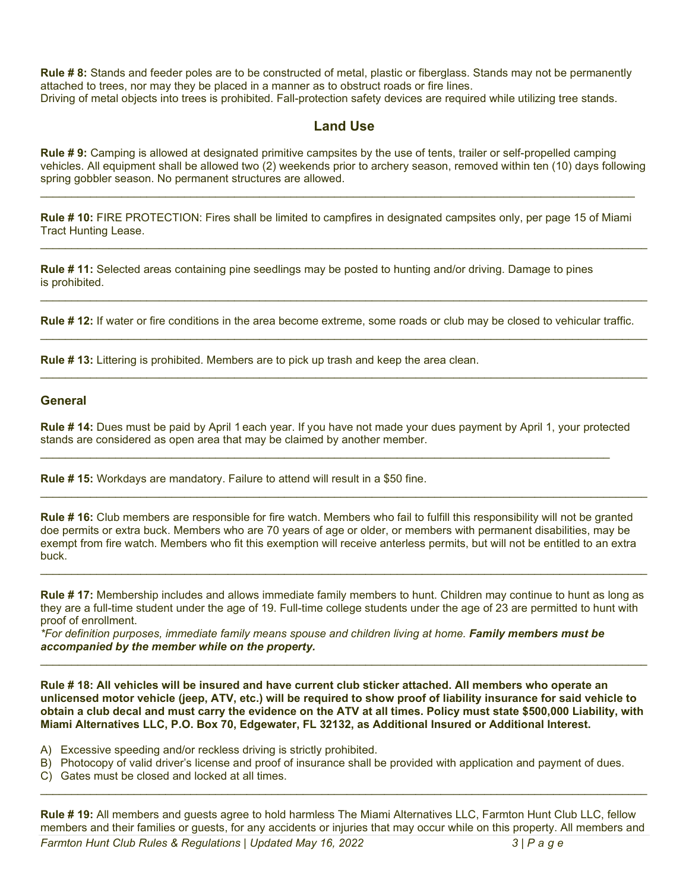**Rule # 8:** Stands and feeder poles are to be constructed of metal, plastic or fiberglass. Stands may not be permanently attached to trees, nor may they be placed in a manner as to obstruct roads or fire lines. Driving of metal objects into trees is prohibited. Fall-protection safety devices are required while utilizing tree stands.

### **Land Use**

**Rule # 9:** Camping is allowed at designated primitive campsites by the use of tents, trailer or self-propelled camping vehicles. All equipment shall be allowed two (2) weekends prior to archery season, removed within ten (10) days following spring gobbler season. No permanent structures are allowed.

**Rule # 10:** FIRE PROTECTION: Fires shall be limited to campfires in designated campsites only, per page 15 of Miami Tract Hunting Lease.

\_\_\_\_\_\_\_\_\_\_\_\_\_\_\_\_\_\_\_\_\_\_\_\_\_\_\_\_\_\_\_\_\_\_\_\_\_\_\_\_\_\_\_\_\_\_\_\_\_\_\_\_\_\_\_\_\_\_\_\_\_\_\_\_\_\_\_\_\_\_\_\_\_\_\_\_\_\_\_\_\_\_\_\_\_\_\_\_\_\_\_\_\_\_\_\_\_

\_\_\_\_\_\_\_\_\_\_\_\_\_\_\_\_\_\_\_\_\_\_\_\_\_\_\_\_\_\_\_\_\_\_\_\_\_\_\_\_\_\_\_\_\_\_\_\_\_\_\_\_\_\_\_\_\_\_\_\_\_\_\_\_\_\_\_\_\_\_\_\_\_\_\_\_\_\_\_\_\_\_\_\_\_\_\_\_\_\_\_\_\_\_\_\_\_

\_\_\_\_\_\_\_\_\_\_\_\_\_\_\_\_\_\_\_\_\_\_\_\_\_\_\_\_\_\_\_\_\_\_\_\_\_\_\_\_\_\_\_\_\_\_\_\_\_\_\_\_\_\_\_\_\_\_\_\_\_\_\_\_\_\_\_\_\_\_\_\_\_\_\_\_\_\_\_\_\_\_\_\_\_\_\_\_\_\_\_\_\_\_\_\_\_

\_\_\_\_\_\_\_\_\_\_\_\_\_\_\_\_\_\_\_\_\_\_\_\_\_\_\_\_\_\_\_\_\_\_\_\_\_\_\_\_\_\_\_\_\_\_\_\_\_\_\_\_\_\_\_\_\_\_\_\_\_\_\_\_\_\_\_\_\_\_\_\_\_\_\_\_\_\_\_\_\_\_\_\_\_\_\_\_\_\_\_\_\_\_\_

**Rule # 11:** Selected areas containing pine seedlings may be posted to hunting and/or driving. Damage to pines is prohibited.

**Rule # 12:** If water or fire conditions in the area become extreme, some roads or club may be closed to vehicular traffic. \_\_\_\_\_\_\_\_\_\_\_\_\_\_\_\_\_\_\_\_\_\_\_\_\_\_\_\_\_\_\_\_\_\_\_\_\_\_\_\_\_\_\_\_\_\_\_\_\_\_\_\_\_\_\_\_\_\_\_\_\_\_\_\_\_\_\_\_\_\_\_\_\_\_\_\_\_\_\_\_\_\_\_\_\_\_\_\_\_\_\_\_\_\_\_\_\_

**Rule # 13:** Littering is prohibited. Members are to pick up trash and keep the area clean.

#### **General**

**Rule # 14:** Dues must be paid by April 1 each year. If you have not made your dues payment by April 1, your protected stands are considered as open area that may be claimed by another member.

\_\_\_\_\_\_\_\_\_\_\_\_\_\_\_\_\_\_\_\_\_\_\_\_\_\_\_\_\_\_\_\_\_\_\_\_\_\_\_\_\_\_\_\_\_\_\_\_\_\_\_\_\_\_\_\_\_\_\_\_\_\_\_\_\_\_\_\_\_\_\_\_\_\_\_\_\_\_\_\_\_\_\_\_\_\_\_\_\_\_\_

**Rule # 15:** Workdays are mandatory. Failure to attend will result in a \$50 fine.

**Rule # 16:** Club members are responsible for fire watch. Members who fail to fulfill this responsibility will not be granted doe permits or extra buck. Members who are 70 years of age or older, or members with permanent disabilities, may be exempt from fire watch. Members who fit this exemption will receive anterless permits, but will not be entitled to an extra buck.

\_\_\_\_\_\_\_\_\_\_\_\_\_\_\_\_\_\_\_\_\_\_\_\_\_\_\_\_\_\_\_\_\_\_\_\_\_\_\_\_\_\_\_\_\_\_\_\_\_\_\_\_\_\_\_\_\_\_\_\_\_\_\_\_\_\_\_\_\_\_\_\_\_\_\_\_\_\_\_\_\_\_\_\_\_\_\_\_\_\_\_\_\_\_\_\_\_

**Rule # 17:** Membership includes and allows immediate family members to hunt. Children may continue to hunt as long as they are a full-time student under the age of 19. Full-time college students under the age of 23 are permitted to hunt with proof of enrollment.

\_\_\_\_\_\_\_\_\_\_\_\_\_\_\_\_\_\_\_\_\_\_\_\_\_\_\_\_\_\_\_\_\_\_\_\_\_\_\_\_\_\_\_\_\_\_\_\_\_\_\_\_\_\_\_\_\_\_\_\_\_\_\_\_\_\_\_\_\_\_\_\_\_\_\_\_\_\_\_\_\_\_\_\_\_\_\_\_\_\_\_\_\_\_\_\_\_

*\*For definition purposes, immediate family means spouse and children living at home. Family members must be accompanied by the member while on the property.*

**Rule # 18: All vehicles will be insured and have current club sticker attached. All members who operate an unlicensed motor vehicle (jeep, ATV, etc.) will be required to show proof of liability insurance for said vehicle to obtain a club decal and must carry the evidence on the ATV at all times. Policy must state \$500,000 Liability, with Miami Alternatives LLC, P.O. Box 70, Edgewater, FL 32132, as Additional Insured or Additional Interest.**

\_\_\_\_\_\_\_\_\_\_\_\_\_\_\_\_\_\_\_\_\_\_\_\_\_\_\_\_\_\_\_\_\_\_\_\_\_\_\_\_\_\_\_\_\_\_\_\_\_\_\_\_\_\_\_\_\_\_\_\_\_\_\_\_\_\_\_\_\_\_\_\_\_\_\_\_\_\_\_\_\_\_\_\_\_\_\_\_\_\_\_\_\_\_\_\_\_

- A) Excessive speeding and/or reckless driving is strictly prohibited.
- B) Photocopy of valid driver's license and proof of insurance shall be provided with application and payment of dues.
- C) Gates must be closed and locked at all times.

*Farmton Hunt Club Rules & Regulations | Updated May 16, 2022 3 | Page* **Rule # 19:** All members and guests agree to hold harmless The Miami Alternatives LLC, Farmton Hunt Club LLC, fellow members and their families or guests, for any accidents or injuries that may occur while on this property. All members and

\_\_\_\_\_\_\_\_\_\_\_\_\_\_\_\_\_\_\_\_\_\_\_\_\_\_\_\_\_\_\_\_\_\_\_\_\_\_\_\_\_\_\_\_\_\_\_\_\_\_\_\_\_\_\_\_\_\_\_\_\_\_\_\_\_\_\_\_\_\_\_\_\_\_\_\_\_\_\_\_\_\_\_\_\_\_\_\_\_\_\_\_\_\_\_\_\_